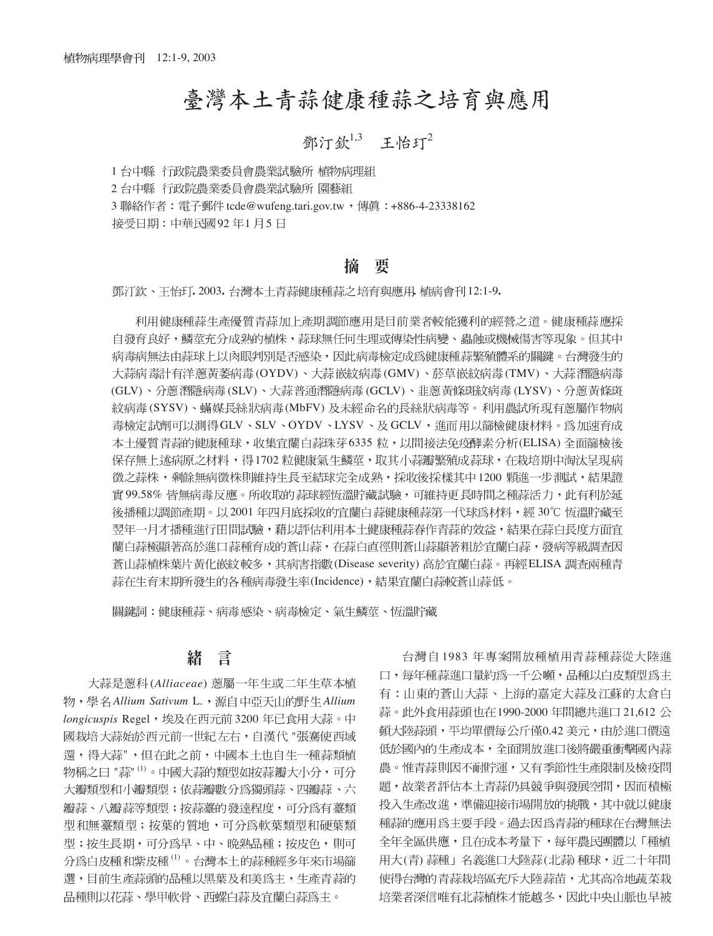# 臺灣本土青蒜健康種蒜之培育與應用

## 鄧汀欽 $1,3$  王怡玎 $2$

1 台中縣 行政院農業委員會農業試驗所 植物病理組

2 台中縣 行政院農業委員會農業試驗所 園藝組

3 聯絡作者: 電子郵件 tcde@wufeng.tari.gov.tw, 傳眞: +886-4-23338162

接受日期:中華民國92年1月5日

#### 搐 要

**.** 2003**. .** 12:1-9**.**

利用健康種蒜生產優質青蒜加上產期調節應用是目前業者較能獲利的經營之道。健康種蒜應採 自發育良好,鱗莖充分成熟的植株,蒜球無任何生理或傳染性病變、蟲蝕或機械傷害等現象。但其中 病毒病無法由蒜球上以肉眼判別是否感染,因此病毒檢定成為健康種蒜繁殖體系的關鍵。台灣發生的 大蒜病毒計有洋蔥黃萎病毒(OYDV)、大蒜嵌紋病毒(GMV)、菸草嵌紋病毒(TMV)、大蒜潛隱病毒 (GLV)、分蔥潛隱病毒(SLV)、大蒜普通潛隱病毒(GCLV)、韭蔥黃條斑紋病毒(LYSV)、分蔥黃條斑 紋病毒(SYSV)、蟎媒長絲狀病毒(MbFV) 及未經命名的長絲狀病毒等。利用農試所現有蔥屬作物病 毒檢定試劑可以測得GLV、SLV、OYDV、LYSV、及GCLV,進而用以篩檢健康材料。為加速育成 本土優質青蒜的健康種球,收集官蘭白蒜珠芽6335 粒,以間接法免疫酵素分析(ELISA) 全面篩檢後 保存無上述病原之材料,得1702 粒健康氣生鱗莖,取其小蒜瓣繁殖成蒜球,在栽培期中淘汰呈現病 徵之蒜株,剩餘無病徵株則維持生長至結球完全成熟,採收後採樣其中1200 顆進一步測試,結果證 實 99.58% 皆無病毒反應。所收取的蒜球經恆溫貯藏試驗,可維持更長時間之種蒜活力,此有利於延 後播種以調節產期。以 2001 年四月底採收的官蘭白蒜健康種蒜第一代球為材料,經 30℃ 恆溫貯藏至 翌年一月才播種進行田間試驗,藉以評估利用本土健康種蒜春作青蒜的效益,結果在蒜白長度方面宜 蘭白蒜極顯著高於進口蒜種育成的蒼山蒜,在蒜白直徑則蒼山蒜顯著粗於宜蘭白蒜,發病等級調查因 蒼山蒜植株葉片黃化嵌紋較多,其病害指數(Disease severity) 高於宜蘭白蒜。再經 ELISA 調查兩種青 蒜在生育末期所發生的各種病毒發生率(Incidence),結果宜蘭白蒜較蒼山蒜低。

關鍵詞:健康種蒜、病毒感染、病毒檢定、氣生鱗莖、恆溫貯藏

#### 言 緖

大蒜是蔥科(Alliaceae) 蔥屬一年生或二年生草本植 *Allium Sativum* L. *Allium* longicuspis Regel, 埃及在西元前3200年已食用大蒜。中 國栽培大蒜始於西元前一世紀左右,自漢代 "張騫使西域 還,得大蒜",但在此之前,中國本土也自生一種蒜類植 物稱之曰 "蒜" <sup>(1)</sup>。中國大蒜的類型如按蒜瓣大小分,可分 大瓣類型和小瓣類型;依蒜瓣數分為獨頭蒜、四瓣蒜、六 瓣蒜、八瓣蒜等類型;按蒜薹的發達程度,可分為有薹類 型和無薹類型; 按葉的質地, 可分為軟葉類型和硬葉類 型;按生長期,可分為早、中、晩熟品種;按皮色,則可 分爲白皮種和紫皮種<sup>(1)</sup>。台灣本土的蒜種經多年來市場篩 選,目前生產蒜頭的品種以黑葉及和美為主,生產青蒜的 品種則以花蒜、學甲軟骨、西螺白蒜及宜蘭白蒜為主。

台灣自1983年專案開放種植用青蒜種蒜從大陸進 口,每年種蒜進口量約為一千公噸,品種以白皮類型為主 有:山東的蒼山大蒜、上海的嘉定大蒜及江蘇的太倉白 蒜。此外食用蒜頭也在1990-2000年間總共進口 21,612 公 頓大陸蒜頭,平均單價每公斤僅0.42美元,由於進口價遠 低於國內的生產成本,全面開放進口後將嚴重衝擊國內蒜 農。惟青蒜則因不耐貯運,又有季節性生產限制及檢疫問 題,故業者評估本土青蒜仍具競爭與發展空間,因而積極 投入生產改進,準備迎接市場開放的挑戰,其中就以健康 種蒜的應用為主要手段。過去因為青蒜的種球在台灣無法 全年全區供應,且在成本考量下,每年農民團體以「種植 用大(青)蒜種」名義進口大陸蒜(北蒜)種球,近二十年間 使得台灣的青蒜栽培區充斥大陸蒜苗,尤其高冷地蔬菜栽 培業者深信唯有北蒜植株才能越冬,因此中央山脈也早被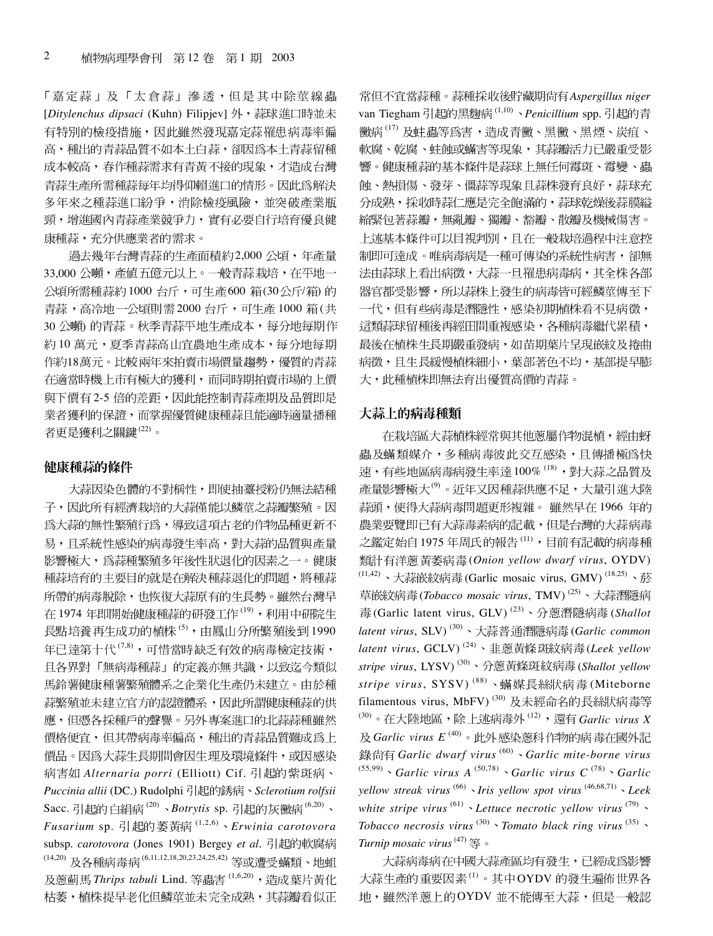「嘉定蒜」及「太倉蒜」滲透,但是其中除莖線蟲 [*Ditylenchus dipsaci* (Kuhn) Filipjev] 有特別的檢疫措施,因此雖然發現嘉定蒜罹患病毒率偏 高,種出的青蒜品質不如本土白蒜,卻因為本土青蒜留種 成本較高,春作種蒜需求有青黃不接的現象,才造成台灣 青蒜生產所需種蒜每年均得仰賴進口的情形。因此為解決 多年來之種蒜進口紛爭,消除檢疫風險,並突破產業瓶 頸,增進國內青蒜產業競爭力,實有必要自行培育優良健 康種蒜,充分供應業者的需求。

過去幾年台灣青蒜的生產面積約2,000公頃,年產量 33,000 公噸,產值五億元以上。一般青蒜栽培,在平地一 公頃所需種蒜約1000 台斤,可生產600 箱(30公斤/箱)的 青蒜,高冷地一公頃則需 2000 台斤,可生產 1000 箱(共 30 公噸) 的青蒜。秋季青蒜平地生產成本,每分地每期作 約10萬元,夏季青蒜高山宜農地生產成本,每分地每期 作約18萬元。比較兩年來拍賣市場價量趨勢,優質的青蒜 在適當時機上市有極大的獲利,而同時期拍賣市場的上價 與下價有2-5 倍的差距,因此能控制青蒜產期及品質即是 業者獲利的保證,而掌握優質健康種蒜且能適時適量播種 者更是獲利之關鍵(22)。

#### 健康種蒜的條件

大蒜因染色體的不對稱性,即使抽薹授粉仍無法結種 子,因此所有經濟栽培的大蒜僅能以鱗莖之蒜瓣繁殖。因 爲大蒜的無性繁殖行爲,導致這項古老的作物品種更新不 易,且系統性感染的病毒發生率高,對大蒜的品質與產量 影響極大,為蒜種繁殖多年後性狀退化的因素之一。健康 種蒜培育的主要目的就是在解決種蒜退化的問題,將種蒜 所帶的病毒脫除,也恢復大蒜原有的生長勢。雖然台灣早 在1974年即開始健康種蒜的研發工作<sup>(19)</sup>,利用中研院生 長點培養再生成功的植株(5),由鳳山分所繁殖後到1990 年已達第十代<sup>(7,8)</sup>,可惜當時缺乏有效的病毒檢定技術, 且各界對「無病毒種蒜」的定義亦無共識,以致迄今類似 馬鈴薯健康種薯繁殖體系之企業化生產仍未建立。由於種 蒜繁殖並未建立官方的認證體系,因此所謂健康種蒜的供 應,但憑各採種戶的聲譽。另外專案進口的北蒜蒜種雖然 價格便宜,但其帶病毒率偏高,種出的青蒜品質難成為上 價品。因為大蒜生長期間會因生理及環境條件,或因感染 *Alternaria porri* (Elliott) Cif. *Puccinia allii* (DC.) Rudolphi *Sclerotium rolfsii* Sacc. 引起的白絹病<sup>(20)</sup>、Botrytis sp. 引起的灰黴病<sup>(6,20)</sup>、 *Fusarium* sp. 引起的萎黄病 (1,2,6) · Erwinia carotovora subsp. *carotovora* (Jones 1901) Bergey *et al*. (14,20) 及各種病毒病(6,11,12,18,20,23,24,25,42) 等或遭受蟎類、地蛆 及蔥薊馬 Thrips tabuli Lind. 等蟲害<sup>(1,6,20)</sup>, 造成葉片黃化 枯萎,植株提早老化但鱗莖並未完全成熟,其蒜瓣看似正 常但不宜當蒜種。蒜種採收後貯藏期尙有Aspergillus niger van Tiegham 引起的黑麴病<sup>(1,10)</sup>、Penicillium spp. 引起的青 黴病<sup>(17)</sup>及蛀蟲等為害,造成青黴、黑黴、黑煙、炭疽、 軟腐、乾腐、蛀蝕或蟎害等現象,其蒜瓣活力已嚴重受影 響。健康種蒜的基本條件是蒜球上無任何霉斑、霉變、蟲 蝕、熱損傷、發芽、僵蒜等現象且蒜株發育良好,蒜球充 分成熟,採收時蒜仁應是完全飽滿的,蒜球乾燥後蒜膜縊 縮緊包著蒜瓣,無亂瓣、獨瓣、豁瓣、散瓣及機械傷害。 上述基本條件可以目視判別,且在一般栽培過程中注意控 制即可達成。唯病毒病是一種可傳染的系統性病害,卻無 法由蒜球上看出病徵,大蒜一旦罹患病毒病,其全株各部 器官都受影響,所以蒜株上發生的病毒皆可經鱗莖傳至下 一代,但有些病毒是潛隱性,感染初期植株看不見病徵, 這類蒜球留種後再經田間重複感染,各種病毒繼代累積, 最後在植株生長期嚴重發病,如苗期葉片呈現嵌紋及捲曲 病徵,且生長緩慢植株細小,葉部著色不均,基部提早膨 大,此種植株即無法育出優質高價的青蒜。

### 大蒜上的病毒種類

在栽培區大蒜植株經常與其他蔥屬作物混植,經由蚜 蟲及蟎類媒介,多種病毒彼此交互感染,且傳播極為快 速,有些地區病毒病發生率達100% (18),對大蒜之品質及 產量影響極大<sup>(9)</sup>。近年又因種蒜供應不足,大量引進大陸 蒜頭,使得大蒜病毒問題更形複雜。雖然早在1966年的 農業要覽即已有大蒜毒素病的記載,但是台灣的大蒜病毒 之鑑定始自1975年周氏的報告(11), 目前有記載的病毒種 (*Onion yellow dwarf virus*, OYDV)  $(11,42)$ 、大蒜嵌紋病毒 (Garlic mosaic virus, GMV) $(18,25)$ 、菸 草嵌紋病毒(Tobacco mosaic virus, TMV)<sup>(25)</sup>、大蒜潛隱病 毒(Garlic latent virus, GLV)<sup>(23)</sup>、分蔥潛隱病毒(Shallot *latent virus*, SLV)<sup>(30)</sup>、大蒜普通潛隱病毒(Garlic common *latent virus*, GCLV)<sup>(24)</sup>、韭蔥黃條斑紋病毒(Leek yellow *stripe virus*, LYSV) (30) (*Shallot yellow* stripe virus, SYSV)<sup>(88)</sup>、蟎媒長絲狀病毒(Miteborne filamentous virus, MbFV)<sup>(30)</sup>及未經命名的長絲狀病毒等 <sup>(30)</sup>。在大陸地區,除上述病毒外<sup>(12)</sup>,還有 Garlic virus X 及 Garlic virus  $E^{(40)}$ 。此外感染蔥科作物的病毒在國外記 *Garlic dwarf virus* (60) *Garlic mite-borne virus* (55,99) *Garlic virus A* (50,78) *Garlic virus C* (78) *Garlic yellow streak virus* (66) *Iris yellow spot virus* (46,68,71) *Leek white stripe virus*  $^{(61)}$  *Lettuce necrotic yellow virus*  $^{(79)}$  *s Tobacco necrosis virus*  $^{(30)}$  *` Tomato black ring virus*  $^{(35)}$  *` Turnip mosaic virus*<sup>(47)</sup>等。

大蒜病毒病在中國大蒜產區均有發生,已經成為影響 大蒜生產的重要因素(1)。其中OYDV的發生遍佈世界各 地,雖然洋蔥上的OYDV並不能傳至大蒜,但是一般認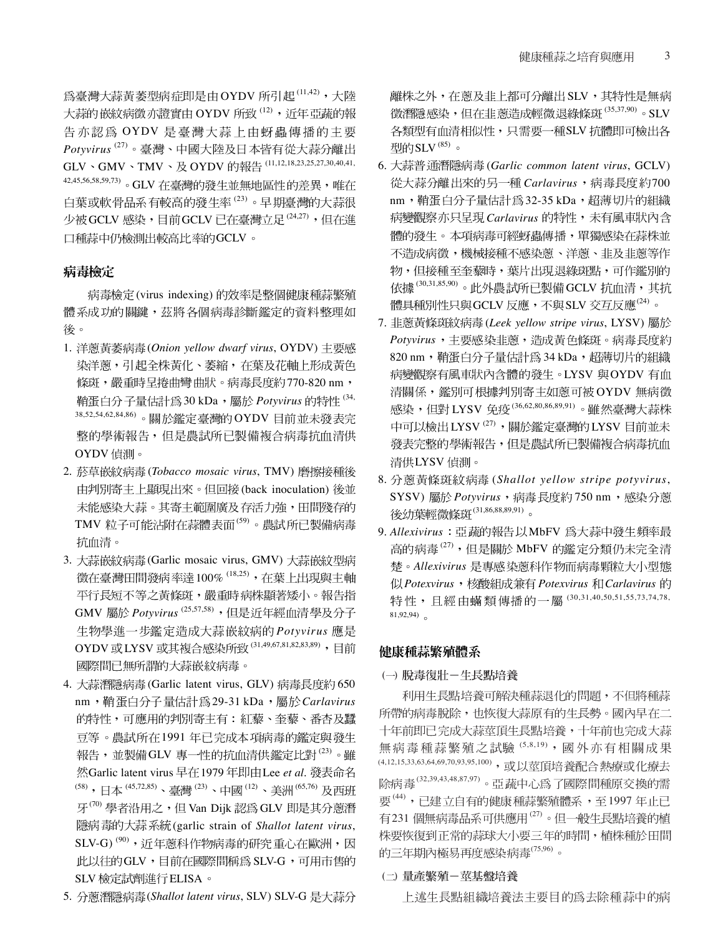為臺灣大蒜黃萎型病症即是由OYDV 所引起(11,42),大陸 大蒜的嵌紋病徵亦證實由 OYDV 所致 <sup>(12)</sup>,近年亞蔬的報 告亦認為 OYDV 是臺灣大蒜上由蚜蟲傳播的主要  $P$ otyvirus<sup>(27)</sup>。臺灣、中國大陸及日本皆有從大蒜分離出 GLV、GMV、TMV、及 OYDV 的報告 (11,12,18,23,25,27,30,40,41, 42,45,56,58,59,73)。 GLV 在臺灣的發生並無地區性的差異,唯在 白葉或軟骨品系有較高的發生率<sup>(23)</sup>。早期臺灣的大蒜很 少被 GCLV 感染, 目前 GCLV 已在臺灣立足 (24,27), 但在進 口種蒜中仍檢測出較高比率的GCLV。

### 病毒檢定

病毒檢定(virus indexing)的效率是整個健康種蒜繁殖 體系成功的關鍵,茲將各個病毒診斷鑑定的資料整理如 後。

- 1. 洋蔥黃萎病毒(Onion yellow dwarf virus, OYDV) 主要感 染洋蔥,引起全株黃化、萎縮,在葉及花軸上形成黃色 條斑,嚴重時呈捲曲彎曲狀。病毒長度約770-820 nm, 鞘蛋白分子量估計為30 kDa,愿於 *Potyvirus* 的特性<sup>(34,</sup> 38,52,54,62,84,86)。關於鑑定臺灣的OYDV目前並未發表完 整的學術報告,但是農試所已製備複合病毒抗血清供 OYDV 偵測。
- 2. (*Tobacco mosaic virus*, TMV) 由判別寄主上顯現出來。但回接(back inoculation) 後並 未能感染大蒜。其寄主範圍廣及存活力強,田間殘存的 TMV 粒子可能沾附在蒜體表面(59)。農試所已製備病毒 抗血清。
- 3. 大蒜嵌紋病毒(Garlic mosaic virus, GMV) 大蒜嵌紋型病 徵在臺灣田間發病率達100%<sup>(18,25)</sup>,在葉上出現與主軸 平行長短不等之黃條斑,嚴重時病株顯著矮小。報告指 GMV 屬於 Potyvirus<sup>(25,57,58)</sup>,但是近年經血清學及分子 生物學進一步鑑定造成大蒜嵌紋病的 Potyvirus 應是 OYDV 或LYSV 或其複合感染所致 (31,49,67,81,82,83,89), 目前 國際間已無所謂的大蒜嵌紋病毒。
- 4. 大蒜潛隱病毒(Garlic latent virus, GLV) 病毒長度約 650 nm, 鞘蛋白分子量估計為29-31 kDa, 屬於 Carlavirus 的特性,可應用的判別寄主有:紅藜、奎藜、番杏及蠶 豆等。農試所在1991年已完成本項病毒的鑑定與發生 報告,並製備GLV 專一性的抗血清供鑑定比對(23)。雖 然Garlic latent virus 早在 1979 年即由 Lee et al. 發表命名 (58), 日本(45,72,85)、臺灣(23)、中國(12)、美洲(65,76) 及西班 牙''" 學者沿用之,但 Van Dijk 認為 GLV 即是其分蔥潛 隱病毒的大蒜系統(garlic strain of *Shallot latent virus*, SLV-G)<sup>(90)</sup>, 近年蔥科作物病毒的研究重心在歐洲, 因 此以往的GLV,目前在國際間稱為 SLV-G,可用市售的 SLV 檢定試劑進行 ELISA。
- 5. (*Shallot latent virus*, SLV) SLV-G

離株之外,在蔥及韭上都可分離出 SLV,其特性是無病 徵潛隱感染,但在韭蔥造成輕微退綠條斑 (35,37,90)。SLV 各類型有血清相似性,只需要一種SLV 抗體即可檢出各 型的SLV $(85)$ 。

- 6. (*Garlic common latent virus*, GCLV) 從大蒜分離出來的另一種 Carlavirus, 病毒長度約700 nm, 鞘蛋白分子量估計為32-35 kDa, 超薄切片的組織 病變觀察亦只呈現 Carlavirus 的特性,未有風車狀內含 體的發生。本項病毒可經蚜蟲傳播,單獨感染在蒜株並 不造成病徵,機械接種不感染蔥、洋蔥、韭及韭蔥等作 物,但接種至奎藜時,葉片出現退綠斑點,可作鑑別的 依據<sup>(30,31,85,90)</sup>。此外農試所已製備 GCLV 抗血清,其抗 體具種別性只與GCLV 反應,不與 SLV 交互反應<sup>(24)</sup>。
- 7. (*Leek yellow stripe virus*, LYSV) *Potyvirus* 820 nm, 鞘蛋白分子量估計為 34 kDa, 超薄切片的組織 病變觀察有風車狀內含體的發生。LYSV 與OYDV 有血 清關係,鑑別可根據判別寄主如蔥可被OYDV無病徵 感染,但對 LYSV 免疫(36,62,80,86,89,91)。雖然臺灣大蒜株 中可以檢出 LYSV<sup>(27)</sup>,關於鑑定臺灣的 LYSV 目前並未 發表完整的學術報告,但是農試所已製備複合病毒抗血 清供LYSV 偵測。
- 8. (*Shallot yellow stripe potyvirus*, SYSV) 屬於 Potyvirus, 病毒長度約 750 nm, 感染分蔥 後幼葉輕微條斑 (31,86,88,89,91)。
- 9. Allexivirus: 亞蔬的報告以MbFV 為大蒜中發生頻率最 高的病毒(27),但是關於 MbFV 的鑑定分類仍未完全清 *Allexivirus Potexvirus Potexvirus Carlavirus* 特性,且經由蟎類傳播的一屬(30,31,40,50,51,55,73,74,78, 81,92,94)

### 健康種蒜繁殖體系

#### (一) 脫毒復壯一生長點培養

利用生長點培養可解決種蒜退化的問題,不但將種蒜 所帶的病毒脫除,也恢復大蒜原有的生長勢。國內早在二 十年前即已完成大蒜莖頂生長點培養,十年前也完成大蒜 無病毒種蒜繁殖之試驗 (5,8,19), 國外亦有相關成果 (4,12,15,33,63,64,69,70,93,95,100), 或以莖頂培養配合熱療或化療去 除病毒(32,39,43,48,87,97)。亞蔬中心為了國際間種原交換的需 要<sup>(44)</sup>,已建立自有的健康種蒜繁殖體系,至1997年止已 有231 個無病毒品系可供應用<sup>(27)</sup>。但一般生長點培養的植 株要恢復到正常的蒜球大小要三年的時間,植株種於田間 的三年期內極易再度感染病毒(75,96)。

#### (二) 量產繁殖一莖基盤培養

上述生長點組織培養法主要目的為去除種蒜中的病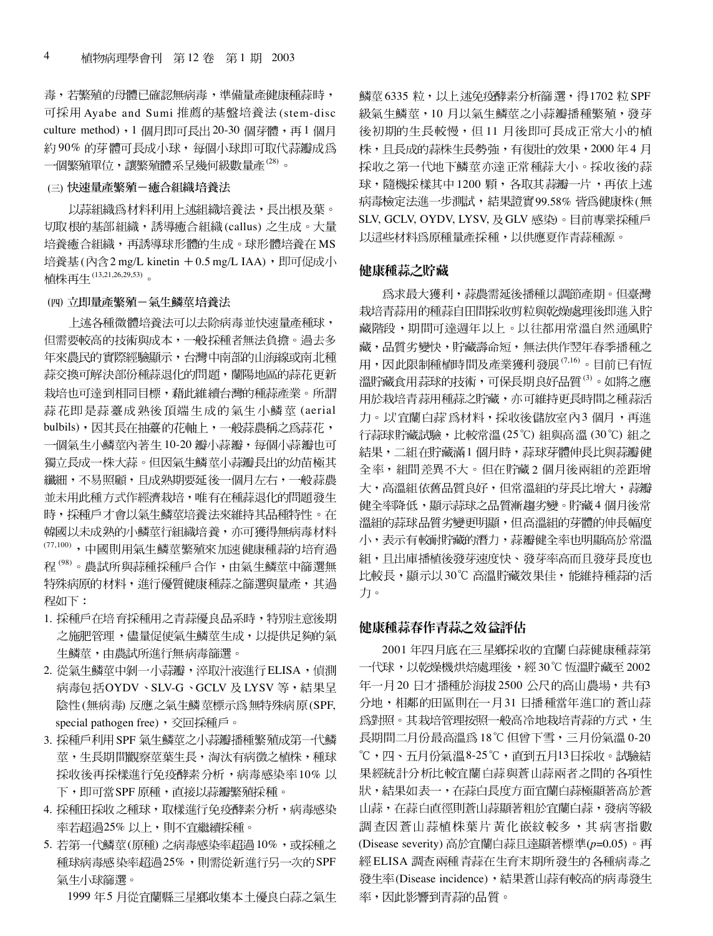毒,若繁殖的母體已確認無病毒,準備量產健康種蒜時, 可採用 Ayabe and Sumi 推薦的基盤培養法 (stem-disc culture method), 1個月即可長出 20-30個芽體, 再1個月 約90%的芽體可長成小球,每個小球即可取代蒜瓣成為 一個繁殖單位,讓繁殖體系呈幾何級數量產(28)。

#### (三) 快速量產繁殖一癒合組織培養法

以蒜組織為材料利用上述組織培養法,長出根及葉。 切取根的基部組織,誘導癒合組織(callus)之生成。大量 培養癒合組織,再誘導球形體的生成。球形體培養在MS 培養基 $($ 內含 $2$  mg/L kinetin  $+0.5$  mg/L IAA $)$ , 即可促成小 植株再生(13,21,26,29,53)。

#### (四)立即量產繁殖-氣生鱗莖培養法

上述各種微體培養法可以去除病毒並快速量產種球, 但需要較高的技術與成本,一般採種者無法負擔。過去多 年來農民的實際經驗顯示,台灣中南部的山海線或南北種 蒜交換可解決部份種蒜退化的問題,蘭陽地區的蒜花更新 栽培也可達到相同目標,藉此維續台灣的種蒜產業。所謂 蒜花即是蒜薹成熟後頂端生成的氣生小鱗莖(aerial bulbils),因其長在抽薹的花軸上,一般蒜農稱之為蒜花, 一個氣生小鱗莖內著生 10-20 瓣小蒜瓣,每個小蒜瓣也可 獨立長成一株大蒜。但因氣生鱗莖小蒜瓣長出的幼苗極其 纖細,不易照顧,且成熟期要延後一個月左右,一般蒜農 並未用此種方式作經濟栽培,唯有在種蒜退化的問題發生 時,採種戶才會以氣生鱗莖培養法來維持其品種特性。在 韓國以未成熟的小鱗莖行組織培養,亦可獲得無病毒材料 (77,100),中國則用氣生鱗莖繁殖來加速健康種蒜的培育過 程(98)。農試所與蒜種採種戶合作,由氣生鱗莖中篩選無 特殊病原的材料,進行優質健康種蒜之篩選與量產,其過 程如下:

- 1. 採種戶在培育採種用之青蒜優良品系時,特別注意後期 之施肥管理,儘量促使氣生鱗莖生成,以提供足夠的氣 生鱗莖,由農試所進行無病毒篩選。
- 2. 從氣生鱗莖中剝一小蒜瓣,淬取汁液進行 ELISA, 偵測 病毒包括OYDV、SLV-G、GCLV 及 LYSV 等,結果呈 陰性(無病毒)反應之氣生鱗莖標示爲無特殊病原(SPF, special pathogen free), 交回採種戶。
- 3. 採種戶利用 SPF 氣生鱗莖之小蒜瓣播種繁殖成第一代鱗 莖,生長期間觀察莖葉生長,淘汰有病徵之植株,種球 採收後再採樣進行免疫酵素分析,病毒感染率10%以 下,即可當SPF 原種,直接以蒜瓣繁殖採種。
- 4. 採種田採收之種球,取樣進行免疫酵素分析,病毒感染 率若超過25% 以上,則不宜繼續採種。
- 5. 若第一代鱗莖(原種) 之病毒感染率超過10%,或採種之 種球病毒感染率超過25%,則需從新進行另一次的 SPF 氣生小球篩選。

1999年5月從宜蘭縣三星鄉收集本土優良白蒜之氣生

鱗莖 6335 粒,以上述免疫酵素分析篩選,得1702 粒 SPF 級氣生鱗莖,10月以氣生鱗莖之小蒜瓣播種繁殖,發芽 後初期的生長較慢,但11月後即可長成正常大小的植 株,且長成的蒜株生長勢強,有復壯的效果,2000年4月 採收之第一代地下鱗莖亦達正常種蒜大小。採收後的蒜 球,隨機採樣其中 1200 顆,各取其蒜瓣一片,再依上述 病毒檢定法進一步測試,結果證實99.58%皆為健康株(無 SLV, GCLV, OYDV, LYSV, 及GLV 感染)。目前專業採種戶 以這些材料為原種量產採種,以供應夏作青蒜種源。

#### 健康種蒜之貯藏

爲求最大獲利,蒜農需延後播種以調節產期。但臺灣 栽培青蒜用的種蒜自田間採收剪粒與乾燥處理後即進入貯 藏階段,期間可達週年以上。以往都用常溫自然通風貯 藏,品質劣變快,貯藏壽命短,無法供作翌年春季播種之 用,因此限制種植時間及產業獲利發展<sup>(7,16)</sup>。目前已有恆 溫貯藏食用蒜球的技術,可保長期良好品質(3)。如將之應 用於栽培青蒜用種蒜之貯藏,亦可維持更長時間之種蒜活 '宜蘭白蒜'為材料,採收後儲放室內3 行蒜球貯藏試驗,比較常溫(25℃)組與高溫(30℃)組之 結果,二組在貯藏滿1個月時,蒜球芽體伸長比與蒜瓣健 全率,組間差異不大。但在貯藏2個月後兩組的差距增 大,高溫組依舊品質良好,但常溫組的芽長比增大,蒜瓣 健全率降低,顯示蒜球之品質漸趨劣變。貯藏4個月後常 溫組的蒜球品質劣變更明顯,但高溫組的芽體的伸長幅度 小,表示有較耐貯藏的潛力,蒜瓣健全率也明顯高於常溫 組,且出庫播植後發芽速度快、發芽率高而且發芽長度也 比較長,顯示以30℃高溫貯藏效果佳,能維持種蒜的活 力。

#### 健康種蒜春作青蒜之效益評估

2001年四月底在三星鄉採收的宜蘭白蒜健康種蒜第 一代球,以乾燥機烘焙處理後,經30℃恆溫貯藏至 2002 年一月20日才播種於海拔2500公尺的高山農場,共有3 分地,相鄰的田區則在一月31日播種當年進口的蒼山蒜 爲對照。其栽培管理按照一般高冷地栽培青蒜的方式,生 長期間二月份最高溫為 18℃ 但曾下雪,三月份氣溫 0-20 ℃,四、五月份氣溫8-25℃,直到五月13日採收。試驗結 果經統計分析比較宜蘭白蒜與蒼山蒜兩者之間的各項性 狀,結果如表一,在蒜白長度方面宜蘭白蒜極顯著高於蒼 山蒜,在蒜白直徑則蒼山蒜顯著粗於宜蘭白蒜,發病等級 調查因蒼山蒜植株葉片黃化嵌紋較多,其病害指數 (Disease severity) 高於宜蘭白蒜且達顯著標準(p=0.05)。再 經 ELISA 調查兩種青蒜在生育末期所發生的各種病毒之 發生率(Disease incidence), 結果蒼山蒜有較高的病毒發生 率,因此影響到青蒜的品質。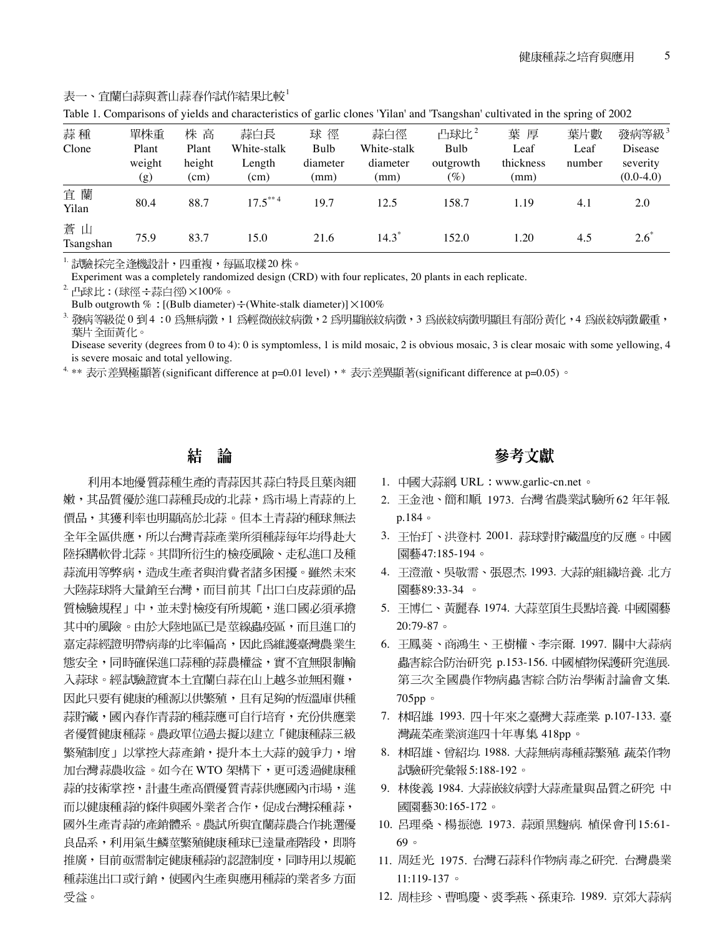|                 |        |        |             |          | Table 1. Comparisons of yields and characteristics of garne ciones "Than and "Isangshan" cultivated in the spring of 2002 |                |           |        |                   |
|-----------------|--------|--------|-------------|----------|---------------------------------------------------------------------------------------------------------------------------|----------------|-----------|--------|-------------------|
| 蒜種              | 單株重    | 株 高    | 蒜白長         | 球 徑      | 蒜白徑                                                                                                                       | 凸球比 $^{\rm 2}$ | 葉 厚       | 葉片數    | 發病等級 <sup>3</sup> |
| Clone           | Plant  | Plant  | White-stalk | Bulb     | White-stalk                                                                                                               | Bulb           | Leaf      | Leaf   | Disease           |
|                 | weight | height | Length      | diameter | diameter                                                                                                                  | outgrowth      | thickness | number | severity          |
|                 | (g)    | (cm)   | (cm)        | (mm)     | (mm)                                                                                                                      | $(\%)$         | (mm)      |        | $(0.0-4.0)$       |
| 宜蘭<br>Yilan     | 80.4   | 88.7   | $17.5***4$  | 19.7     | 12.5                                                                                                                      | 158.7          | 1.19      | 4.1    | 2.0               |
| 蒼山<br>Tsangshan | 75.9   | 83.7   | 15.0        | 21.6     | $14.3^{\circ}$                                                                                                            | 152.0          | 1.20      | 4.5    | $2.6^*$           |

#### 表一、宜蘭白蒜與蒼山蒜春作試作結果比較<sup>1</sup>

Table 1. Comparisons of yields and characteristics of garlic clones 'Yilan' and 'Tsangshan' cultivated in the spring of 2002

 $^1$  試驗採完全逢機設計,四重複,每區取樣 $20 \ \rm{k} \cdot$ 

Experiment was a completely randomized design (CRD) with four replicates, 20 plants in each replicate.

<sup>2.</sup> 凸球比:(球徑÷蒜白徑)×100%。

Bulb outgrowth  $\%$ : [(Bulb diameter)  $\div$  (White-stalk diameter)]  $\times$  100%

 $^3$  發病等級從 0 到 4  $:$  0 爲無病徵,1 爲輕微嵌紋病徵,2 爲明顯嵌紋病徵,3 爲嵌紋病徵明顯且有部份黃化,4 爲嵌紋病徵嚴重, 葉片全面黃化。

Disease severity (degrees from 0 to 4): 0 is symptomless, 1 is mild mosaic, 2 is obvious mosaic, 3 is clear mosaic with some yellowing, 4 is severe mosaic and total yellowing.

<sup>4</sup> \*\* 表示差異極顯著(significant difference at p=0.01 level)  $\cdot$  \* 表示差異顯著(significant difference at p=0.05)  $\circ$ 

#### 結 論

利用本地優質蒜種生產的青蒜因其蒜白特長且葉肉細 嫩,其品質優於進口蒜種長成的北蒜,爲市場上青蒜的上 價品,其獲利率也明顯高於北蒜。但本土青蒜的種球無法 全年全區供應,所以台灣青蒜產業所須種蒜每年均得赴大 陸採購軟骨北蒜。其間所衍生的檢疫風險、走私進口及種 蒜流用等弊病,造成生產者與消費者諸多困擾。雖然未來 大陸蒜球將大量銷至台灣,而目前其「出口白皮蒜頭的品 質檢驗規程」中,並未對檢疫有所規範,進口國必須承擔 其中的風險。由於大陸地區已是莖線蟲疫區,而且進口的 嘉定蒜經證明帶病毒的比率偏高,因此為維護臺灣農業生 態安全,同時確保進口蒜種的蒜農權益,實不宜無限制輸 入蒜球。經試驗證實本土宜蘭白蒜在山上越冬並無困難, 因此只要有健康的種源以供繁殖,且有足夠的恆溫庫供種 蒜貯藏,國內春作青蒜的種蒜應可自行培育,充份供應業 者優質健康種蒜。農政單位過去擬以建立「健康種蒜三級 繁殖制度」以掌控大蒜產銷,提升本土大蒜的競爭力,增 加台灣蒜農收益。如今在 WTO 架構下,更可透過健康種 蒜的技術掌控,計畫生產高價優質青蒜供應國內市場,進 而以健康種蒜的條件與國外業者合作,促成台灣採種蒜, 國外生產青蒜的產銷體系。農試所與宜蘭蒜農合作挑選優 良品系,利用氣生鱗莖繁殖健康種球已達量產階段,即將 推廣,目前亟需制定健康種蒜的認證制度,同時用以規範 種蒜進出口或行銷,使國內生產與應用種蒜的業者多方面 受益。

## 參考文獻

- 1. 中國大蒜網 URL : www.garlic-cn.net。
- 2. 王金池、簡和順 1973. 台灣省農業試驗所62年年報. p.184
- 3. 王怡玎、洪登村. 2001. 蒜球對貯藏溫度的反應。中國 園藝47:185-194。
- 4. 王澄澈、吳敬需、張恩杰. 1993. 大蒜的組織培養. 北方 園藝89:33-34。
- 5. 王博仁、黃麗春. 1974. 大蒜莖頂生長點培養. 中國園藝 20:79-87
- 6. 王鳳葵、商鴻生、王樹權、李宗爾. 1997. 關中大蒜病 蟲害綜合防治研究 p.153-156. 中國植物保護研究進展. 第三次全國農作物病蟲害綜合防治學術討論會文集. 705pp
- 7. 林昭雄. 1993. 四十年來之臺灣大蒜產業. p.107-133. 臺 灣蔬菜產業演進四十年專集 418pp。
- 8. 林昭雄、曾紹均. 1988. 大蒜無病毒種蒜繁殖. 蔬菜作物 試驗研究彙報 5:188-192。
- 9. 林俊義 1984. 大蒜嵌紋病對大蒜產量與品質之研究 中 國園藝30:165-172。
- 10. 呂理桑、楊振德. 1973. 蒜頭黑麴病. 植保會刊 15:61-69 。
- 11. 周廷光 1975. 台灣石蒜科作物病毒之研究. 台灣農業 11:119-137
- 12. 周桂珍、曹鳴慶、裘季燕、孫東玲. 1989. 京郊大蒜病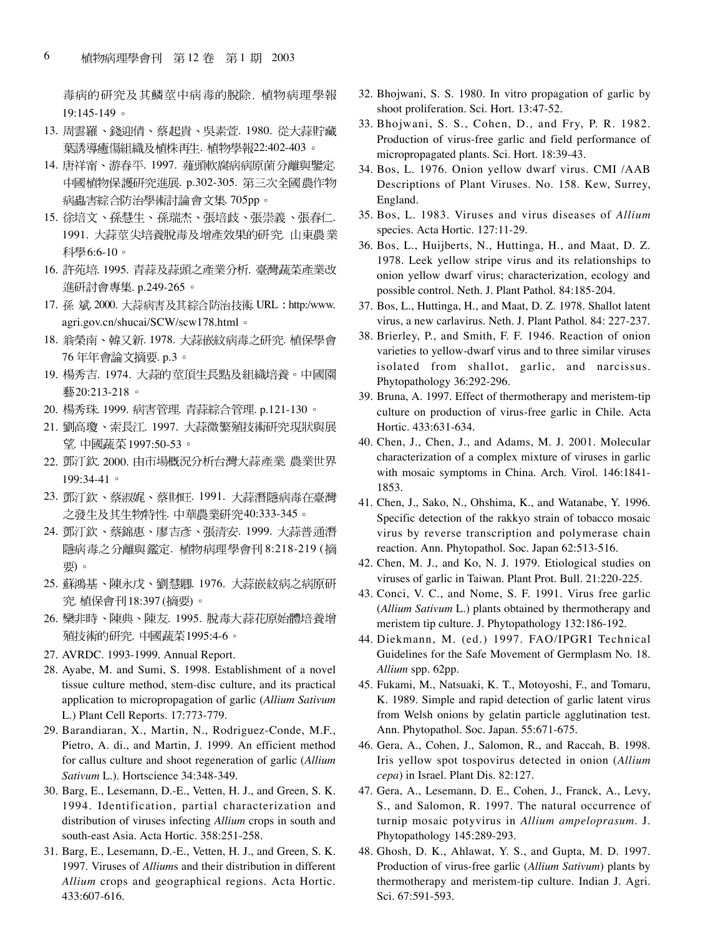毒病的研究及其鱗莖中病毒的脫除. 植物病理學報 19:145-149

- 13. 周雲羅、錢迎倩、蔡起貴、吳素萱. 1980. 從大蒜貯藏 葉誘導癒傷組織及植株再生. 植物學報22:402-403 。
- 14. 唐祥甯、游春平. 1997. 薤頭軟腐病病原菌分離與鑒定. 中國植物保護研究進展. p.302-305. 第三次全國農作物 病蟲害綜合防治學術討論 會文集. 705pp。
- 15. 徐培文、孫慧生、孫瑞杰、張培歧、張崇義、張春仁. 1991. 大蒜莖尖培養脫毒及增產效果的研究. 山東農業 科學6:6-10。
- 16. 許苑培. 1995. 青蒜及蒜頭之產業分析. 臺灣蔬菜產業改 進研討會專集. p.249-265。
- 17. 孫 斌. 2000. 大蒜病害及其綜合防治技術. URL: http:/www. agri.gov.cn/shucai/SCW/scw178.html
- 18. 翁榮南、韓又新. 1978. 大蒜嵌紋病毒之研究. 植保學會 76年年會論文摘要. p.3。
- 19. 楊秀吉. 1974. 大蒜的莖頂生長點及組織培養。中國園 藝20:213-218。
- 20. 楊秀珠. 1999. 病害管理. 青蒜綜合管理. p.121-130。
- 21. 劉高瓊、索長江. 1997. 大蒜微繁殖技術研究現狀與展 望. 中國蔬菜 1997:50-53。
- 22. 鄧汀欽. 2000. 由市場概況分析台灣大蒜產業. 農業世界 199:34-41
- 23. 鄧汀欽、蔡淑娓、蔡財旺. 1991. 大蒜潛隱病毒在臺灣 之發生及其生物特性. 中華農業研究40:333-345。
- 24. 鄧汀欽、蔡錦惠、廖吉彥、張清安. 1999. 大蒜普通潛 隱病毒之分離與鑑定. 植物病理學會刊 8:218-219 (摘 要)。
- 25. 蘇鴻基、陳永戊、劉慧卿. 1976. 大蒜嵌紋病之病原研 究. 植保會刊18:397 (摘要)。
- 26. 欒非時、陳典、陳友. 1995. 脫毒大蒜花原始體培養增 殖技術的研究. 中國蔬菜1995:4-6。
- 27. AVRDC. 1993-1999. Annual Report.
- 28. Ayabe, M. and Sumi, S. 1998. Establishment of a novel tissue culture method, stem-disc culture, and its practical application to micropropagation of garlic (*Allium Sativum* L.) Plant Cell Reports. 17:773-779.
- 29. Barandiaran, X., Martin, N., Rodriguez-Conde, M.F., Pietro, A. di., and Martin, J. 1999. An efficient method for callus culture and shoot regeneration of garlic (*Allium Sativum* L.). Hortscience 34:348-349.
- 30. Barg, E., Lesemann, D.-E., Vetten, H. J., and Green, S. K. 1994. Identification, partial characterization and distribution of viruses infecting *Allium* crops in south and south-east Asia. Acta Hortic. 358:251-258.
- 31. Barg, E., Lesemann, D.-E., Vetten, H. J., and Green, S. K. 1997. Viruses of *Allium*s and their distribution in different *Allium* crops and geographical regions. Acta Hortic. 433:607-616.
- 32. Bhojwani, S. S. 1980. In vitro propagation of garlic by shoot proliferation. Sci. Hort. 13:47-52.
- 33. Bhojwani, S. S., Cohen, D., and Fry, P. R. 1982. Production of virus-free garlic and field performance of micropropagated plants. Sci. Hort. 18:39-43.
- 34. Bos, L. 1976. Onion yellow dwarf virus. CMI /AAB Descriptions of Plant Viruses. No. 158. Kew, Surrey, England.
- 35. Bos, L. 1983. Viruses and virus diseases of *Allium* species. Acta Hortic. 127:11-29.
- 36. Bos, L., Huijberts, N., Huttinga, H., and Maat, D. Z. 1978. Leek yellow stripe virus and its relationships to onion yellow dwarf virus; characterization, ecology and possible control. Neth. J. Plant Pathol. 84:185-204.
- 37. Bos, L., Huttinga, H., and Maat, D. Z. 1978. Shallot latent virus, a new carlavirus. Neth. J. Plant Pathol. 84: 227-237.
- 38. Brierley, P., and Smith, F. F. 1946. Reaction of onion varieties to yellow-dwarf virus and to three similar viruses isolated from shallot, garlic, and narcissus. Phytopathology 36:292-296.
- 39. Bruna, A. 1997. Effect of thermotherapy and meristem-tip culture on production of virus-free garlic in Chile. Acta Hortic. 433:631-634.
- 40. Chen, J., Chen, J., and Adams, M. J. 2001. Molecular characterization of a complex mixture of viruses in garlic with mosaic symptoms in China. Arch. Virol. 146:1841- 1853.
- 41. Chen, J., Sako, N., Ohshima, K., and Watanabe, Y. 1996. Specific detection of the rakkyo strain of tobacco mosaic virus by reverse transcription and polymerase chain reaction. Ann. Phytopathol. Soc. Japan 62:513-516.
- 42. Chen, M. J., and Ko, N. J. 1979. Etiological studies on viruses of garlic in Taiwan. Plant Prot. Bull. 21:220-225.
- 43. Conci, V. C., and Nome, S. F. 1991. Virus free garlic (*Allium Sativum* L.) plants obtained by thermotherapy and meristem tip culture. J. Phytopathology 132:186-192.
- 44. Diekmann, M. (ed.) 1997. FAO/IPGRI Technical Guidelines for the Safe Movement of Germplasm No. 18. *Allium* spp. 62pp.
- 45. Fukami, M., Natsuaki, K. T., Motoyoshi, F., and Tomaru, K. 1989. Simple and rapid detection of garlic latent virus from Welsh onions by gelatin particle agglutination test. Ann. Phytopathol. Soc. Japan. 55:671-675.
- 46. Gera, A., Cohen, J., Salomon, R., and Raccah, B. 1998. Iris yellow spot tospovirus detected in onion (*Allium cepa*) in Israel. Plant Dis. 82:127.
- 47. Gera, A., Lesemann, D. E., Cohen, J., Franck, A., Levy, S., and Salomon, R. 1997. The natural occurrence of turnip mosaic potyvirus in *Allium ampeloprasum*. J. Phytopathology 145:289-293.
- 48. Ghosh, D. K., Ahlawat, Y. S., and Gupta, M. D. 1997. Production of virus-free garlic (*Allium Sativum*) plants by thermotherapy and meristem-tip culture. Indian J. Agri. Sci. 67:591-593.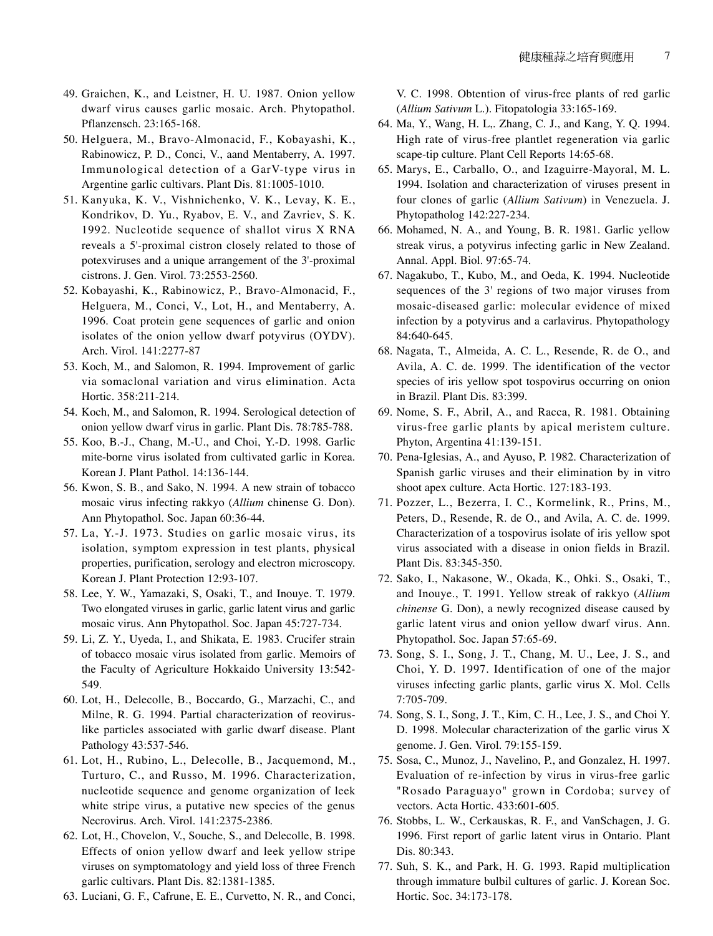- 49. Graichen, K., and Leistner, H. U. 1987. Onion yellow dwarf virus causes garlic mosaic. Arch. Phytopathol. Pflanzensch. 23:165-168.
- 50. Helguera, M., Bravo-Almonacid, F., Kobayashi, K., Rabinowicz, P. D., Conci, V., aand Mentaberry, A. 1997. Immunological detection of a GarV-type virus in Argentine garlic cultivars. Plant Dis. 81:1005-1010.
- 51. Kanyuka, K. V., Vishnichenko, V. K., Levay, K. E., Kondrikov, D. Yu., Ryabov, E. V., and Zavriev, S. K. 1992. Nucleotide sequence of shallot virus X RNA reveals a 5'-proximal cistron closely related to those of potexviruses and a unique arrangement of the 3'-proximal cistrons. J. Gen. Virol. 73:2553-2560.
- 52. Kobayashi, K., Rabinowicz, P., Bravo-Almonacid, F., Helguera, M., Conci, V., Lot, H., and Mentaberry, A. 1996. Coat protein gene sequences of garlic and onion isolates of the onion yellow dwarf potyvirus (OYDV). Arch. Virol. 141:2277-87
- 53. Koch, M., and Salomon, R. 1994. Improvement of garlic via somaclonal variation and virus elimination. Acta Hortic. 358:211-214.
- 54. Koch, M., and Salomon, R. 1994. Serological detection of onion yellow dwarf virus in garlic. Plant Dis. 78:785-788.
- 55. Koo, B.-J., Chang, M.-U., and Choi, Y.-D. 1998. Garlic mite-borne virus isolated from cultivated garlic in Korea. Korean J. Plant Pathol. 14:136-144.
- 56. Kwon, S. B., and Sako, N. 1994. A new strain of tobacco mosaic virus infecting rakkyo (*Allium* chinense G. Don). Ann Phytopathol. Soc. Japan 60:36-44.
- 57. La, Y.-J. 1973. Studies on garlic mosaic virus, its isolation, symptom expression in test plants, physical properties, purification, serology and electron microscopy. Korean J. Plant Protection 12:93-107.
- 58. Lee, Y. W., Yamazaki, S, Osaki, T., and Inouye. T. 1979. Two elongated viruses in garlic, garlic latent virus and garlic mosaic virus. Ann Phytopathol. Soc. Japan 45:727-734.
- 59. Li, Z. Y., Uyeda, I., and Shikata, E. 1983. Crucifer strain of tobacco mosaic virus isolated from garlic. Memoirs of the Faculty of Agriculture Hokkaido University 13:542- 549.
- 60. Lot, H., Delecolle, B., Boccardo, G., Marzachi, C., and Milne, R. G. 1994. Partial characterization of reoviruslike particles associated with garlic dwarf disease. Plant Pathology 43:537-546.
- 61. Lot, H., Rubino, L., Delecolle, B., Jacquemond, M., Turturo, C., and Russo, M. 1996. Characterization, nucleotide sequence and genome organization of leek white stripe virus, a putative new species of the genus Necrovirus. Arch. Virol. 141:2375-2386.
- 62. Lot, H., Chovelon, V., Souche, S., and Delecolle, B. 1998. Effects of onion yellow dwarf and leek yellow stripe viruses on symptomatology and yield loss of three French garlic cultivars. Plant Dis. 82:1381-1385.
- 63. Luciani, G. F., Cafrune, E. E., Curvetto, N. R., and Conci,

V. C. 1998. Obtention of virus-free plants of red garlic (*Allium Sativum* L.). Fitopatologia 33:165-169.

- 64. Ma, Y., Wang, H. L,. Zhang, C. J., and Kang, Y. Q. 1994. High rate of virus-free plantlet regeneration via garlic scape-tip culture. Plant Cell Reports 14:65-68.
- 65. Marys, E., Carballo, O., and Izaguirre-Mayoral, M. L. 1994. Isolation and characterization of viruses present in four clones of garlic (*Allium Sativum*) in Venezuela. J. Phytopatholog 142:227-234.
- 66. Mohamed, N. A., and Young, B. R. 1981. Garlic yellow streak virus, a potyvirus infecting garlic in New Zealand. Annal. Appl. Biol. 97:65-74.
- 67. Nagakubo, T., Kubo, M., and Oeda, K. 1994. Nucleotide sequences of the 3' regions of two major viruses from mosaic-diseased garlic: molecular evidence of mixed infection by a potyvirus and a carlavirus. Phytopathology 84:640-645.
- 68. Nagata, T., Almeida, A. C. L., Resende, R. de O., and Avila, A. C. de. 1999. The identification of the vector species of iris yellow spot tospovirus occurring on onion in Brazil. Plant Dis. 83:399.
- 69. Nome, S. F., Abril, A., and Racca, R. 1981. Obtaining virus-free garlic plants by apical meristem culture. Phyton, Argentina 41:139-151.
- 70. Pena-Iglesias, A., and Ayuso, P. 1982. Characterization of Spanish garlic viruses and their elimination by in vitro shoot apex culture. Acta Hortic. 127:183-193.
- 71. Pozzer, L., Bezerra, I. C., Kormelink, R., Prins, M., Peters, D., Resende, R. de O., and Avila, A. C. de. 1999. Characterization of a tospovirus isolate of iris yellow spot virus associated with a disease in onion fields in Brazil. Plant Dis. 83:345-350.
- 72. Sako, I., Nakasone, W., Okada, K., Ohki. S., Osaki, T., and Inouye., T. 1991. Yellow streak of rakkyo (*Allium chinense* G. Don), a newly recognized disease caused by garlic latent virus and onion yellow dwarf virus. Ann. Phytopathol. Soc. Japan 57:65-69.
- 73. Song, S. I., Song, J. T., Chang, M. U., Lee, J. S., and Choi, Y. D. 1997. Identification of one of the major viruses infecting garlic plants, garlic virus X. Mol. Cells 7:705-709.
- 74. Song, S. I., Song, J. T., Kim, C. H., Lee, J. S., and Choi Y. D. 1998. Molecular characterization of the garlic virus X genome. J. Gen. Virol. 79:155-159.
- 75. Sosa, C., Munoz, J., Navelino, P., and Gonzalez, H. 1997. Evaluation of re-infection by virus in virus-free garlic "Rosado Paraguayo" grown in Cordoba; survey of vectors. Acta Hortic. 433:601-605.
- 76. Stobbs, L. W., Cerkauskas, R. F., and VanSchagen, J. G. 1996. First report of garlic latent virus in Ontario. Plant Dis. 80:343.
- 77. Suh, S. K., and Park, H. G. 1993. Rapid multiplication through immature bulbil cultures of garlic. J. Korean Soc. Hortic. Soc. 34:173-178.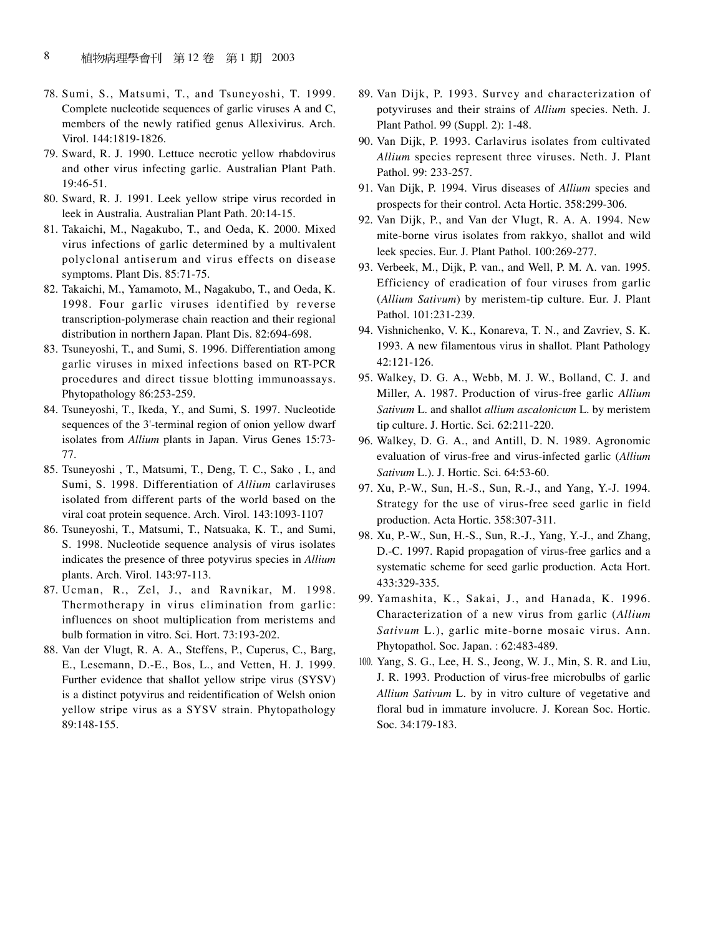- 78. Sumi, S., Matsumi, T., and Tsuneyoshi, T. 1999. Complete nucleotide sequences of garlic viruses A and C, members of the newly ratified genus Allexivirus. Arch. Virol. 144:1819-1826.
- 79. Sward, R. J. 1990. Lettuce necrotic yellow rhabdovirus and other virus infecting garlic. Australian Plant Path. 19:46-51.
- 80. Sward, R. J. 1991. Leek yellow stripe virus recorded in leek in Australia. Australian Plant Path. 20:14-15.
- 81. Takaichi, M., Nagakubo, T., and Oeda, K. 2000. Mixed virus infections of garlic determined by a multivalent polyclonal antiserum and virus effects on disease symptoms. Plant Dis. 85:71-75.
- 82. Takaichi, M., Yamamoto, M., Nagakubo, T., and Oeda, K. 1998. Four garlic viruses identified by reverse transcription-polymerase chain reaction and their regional distribution in northern Japan. Plant Dis. 82:694-698.
- 83. Tsuneyoshi, T., and Sumi, S. 1996. Differentiation among garlic viruses in mixed infections based on RT-PCR procedures and direct tissue blotting immunoassays. Phytopathology 86:253-259.
- 84. Tsuneyoshi, T., Ikeda, Y., and Sumi, S. 1997. Nucleotide sequences of the 3'-terminal region of onion yellow dwarf isolates from *Allium* plants in Japan. Virus Genes 15:73- 77.
- 85. Tsuneyoshi , T., Matsumi, T., Deng, T. C., Sako , I., and Sumi, S. 1998. Differentiation of *Allium* carlaviruses isolated from different parts of the world based on the viral coat protein sequence. Arch. Virol. 143:1093-1107
- 86. Tsuneyoshi, T., Matsumi, T., Natsuaka, K. T., and Sumi, S. 1998. Nucleotide sequence analysis of virus isolates indicates the presence of three potyvirus species in *Allium* plants. Arch. Virol. 143:97-113.
- 87. Ucman, R., Zel, J., and Ravnikar, M. 1998. Thermotherapy in virus elimination from garlic: influences on shoot multiplication from meristems and bulb formation in vitro. Sci. Hort. 73:193-202.
- 88. Van der Vlugt, R. A. A., Steffens, P., Cuperus, C., Barg, E., Lesemann, D.-E., Bos, L., and Vetten, H. J. 1999. Further evidence that shallot yellow stripe virus (SYSV) is a distinct potyvirus and reidentification of Welsh onion yellow stripe virus as a SYSV strain. Phytopathology 89:148-155.
- 89. Van Dijk, P. 1993. Survey and characterization of potyviruses and their strains of *Allium* species. Neth. J. Plant Pathol. 99 (Suppl. 2): 1-48.
- 90. Van Dijk, P. 1993. Carlavirus isolates from cultivated *Allium* species represent three viruses. Neth. J. Plant Pathol. 99: 233-257.
- 91. Van Dijk, P. 1994. Virus diseases of *Allium* species and prospects for their control. Acta Hortic. 358:299-306.
- 92. Van Dijk, P., and Van der Vlugt, R. A. A. 1994. New mite-borne virus isolates from rakkyo, shallot and wild leek species. Eur. J. Plant Pathol. 100:269-277.
- 93. Verbeek, M., Dijk, P. van., and Well, P. M. A. van. 1995. Efficiency of eradication of four viruses from garlic (*Allium Sativum*) by meristem-tip culture. Eur. J. Plant Pathol. 101:231-239.
- 94. Vishnichenko, V. K., Konareva, T. N., and Zavriev, S. K. 1993. A new filamentous virus in shallot. Plant Pathology 42:121-126.
- 95. Walkey, D. G. A., Webb, M. J. W., Bolland, C. J. and Miller, A. 1987. Production of virus-free garlic *Allium Sativum* L. and shallot *allium ascalonicum* L. by meristem tip culture. J. Hortic. Sci. 62:211-220.
- 96. Walkey, D. G. A., and Antill, D. N. 1989. Agronomic evaluation of virus-free and virus-infected garlic (*Allium Sativum* L.). J. Hortic. Sci. 64:53-60.
- 97. Xu, P.-W., Sun, H.-S., Sun, R.-J., and Yang, Y.-J. 1994. Strategy for the use of virus-free seed garlic in field production. Acta Hortic. 358:307-311.
- 98. Xu, P.-W., Sun, H.-S., Sun, R.-J., Yang, Y.-J., and Zhang, D.-C. 1997. Rapid propagation of virus-free garlics and a systematic scheme for seed garlic production. Acta Hort. 433:329-335.
- 99. Yamashita, K., Sakai, J., and Hanada, K. 1996. Characterization of a new virus from garlic (*Allium Sativum* L.), garlic mite-borne mosaic virus. Ann. Phytopathol. Soc. Japan. : 62:483-489.
- 100. Yang, S. G., Lee, H. S., Jeong, W. J., Min, S. R. and Liu, J. R. 1993. Production of virus-free microbulbs of garlic *Allium Sativum* L. by in vitro culture of vegetative and floral bud in immature involucre. J. Korean Soc. Hortic. Soc. 34:179-183.